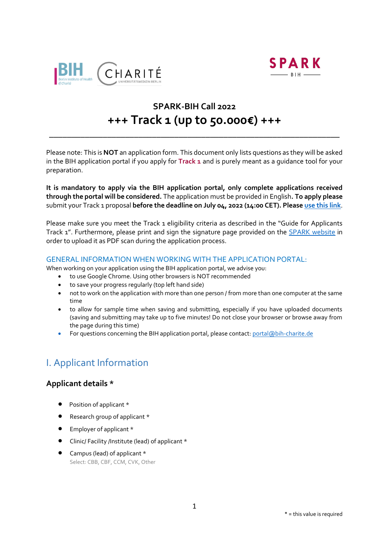



# **SPARK-BIH Call 2022 +++ Track 1 (up to 50.000€) +++**

\_\_\_\_\_\_\_\_\_\_\_\_\_\_\_\_\_\_\_\_\_\_\_\_\_\_\_\_\_\_\_\_\_\_\_\_\_\_\_\_\_\_\_\_\_\_\_\_\_\_\_\_\_\_\_\_\_\_\_\_\_\_\_\_\_

Please note: This is **NOT** an application form. This document only lists questions as they will be asked in the BIH application portal if you apply for **Track 1** and is purely meant as a guidance tool for your preparation.

**It is mandatory to apply via the BIH application portal, only complete applications received through the portal will be considered.** The application must be provided in English**. To apply please**  submit your Track 1 proposal **before the deadline on July 04, 2022 (14:00 CET). Please [use this link](https://portal.bihealth.de/portal/)**.

Please make sure you meet the Track 1 eligibility criteria as described in the "Guide for Applicants Track 1". Furthermore, please print and sign the signature page provided on the SPARK [website](https://www.spark-bih.de/program/application) in order to upload it as PDF scan during the application process.

## GENERAL INFORMATION WHEN WORKING WITH THE APPLICATION PORTAL:

When working on your application using the BIH application portal, we advise you:

- to use Google Chrome. Using other browsers is NOT recommended
- to save your progress regularly (top left hand side)
- not to work on the application with more than one person / from more than one computer at the same time
- to allow for sample time when saving and submitting, especially if you have uploaded documents (saving and submitting may take up to five minutes! Do not close your browser or browse away from the page during this time)
- For questions concerning the BIH application portal, please contact[: portal@bih-charite.de](mailto:portal@bih-charite.de)

# I. Applicant Information

## **Applicant details \***

- Position of applicant \*
- Research group of applicant \*
- $\bullet$  Employer of applicant  $*$
- Clinic/ Facility /Institute (lead) of applicant \*
- Campus (lead) of applicant \* Select: CBB, CBF, CCM, CVK, Other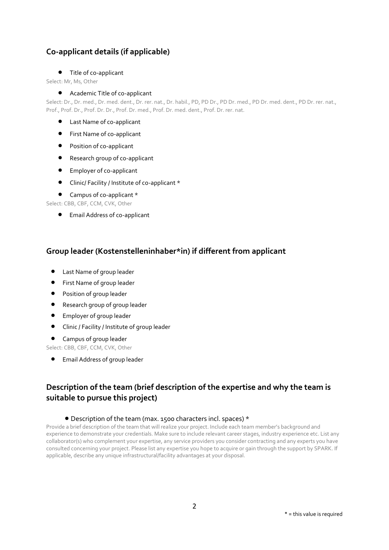## **Co-applicant details (if applicable)**

## Title of co-applicant

Select: Mr, Ms, Other

## Academic Title of co-applicant

Select: Dr., Dr. med., Dr. med. dent., Dr. rer. nat., Dr. habil., PD, PD Dr., PD Dr. med., PD Dr. med. dent., PD Dr. rer. nat., Prof., Prof. Dr., Prof. Dr. Dr., Prof. Dr. med., Prof. Dr. med. dent., Prof. Dr. rer. nat.

- Last Name of co-applicant
- **•** First Name of co-applicant
- Position of co-applicant
- Research group of co-applicant
- **Employer of co-applicant**
- Clinic/ Facility / Institute of co-applicant \*

## • Campus of co-applicant \*

Select: CBB, CBF, CCM, CVK, Other

Email Address of co-applicant

## **Group leader (Kostenstelleninhaber\*in) if different from applicant**

- Last Name of group leader
- First Name of group leader
- **•** Position of group leader
- Research group of group leader
- Employer of group leader
- Clinic / Facility / Institute of group leader
- Campus of group leader

Select: CBB, CBF, CCM, CVK, Other

Email Address of group leader

## **Description of the team (brief description of the expertise and why the team is suitable to pursue this project)**

## Description of the team (max. 1500 characters incl. spaces) \*

Provide a brief description of the team that will realize your project. Include each team member's background and experience to demonstrate your credentials. Make sure to include relevant career stages, industry experience etc. List any collaborator(s) who complement your expertise, any service providers you consider contracting and any experts you have consulted concerning your project. Please list any expertise you hope to acquire or gain through the support by SPARK. If applicable, describe any unique infrastructural/facility advantages at your disposal.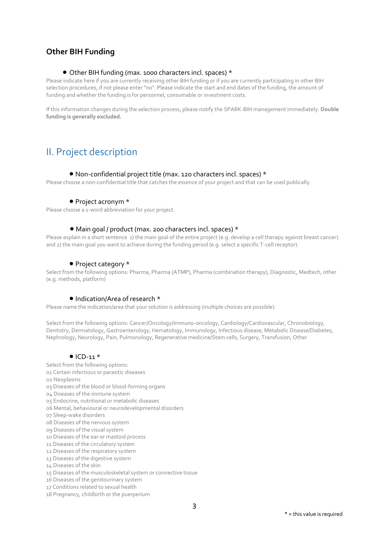## **Other BIH Funding**

## Other BIH funding (max. 1000 characters incl. spaces) \*

Please indicate here if you are currently receiving other BIH funding or if you are currently participating in other BIH selection procedures, if not please enter "no". Please indicate the start and end dates of the funding, the amount of funding and whether the funding is for personnel, consumable or investment costs.

If this information changes during the selection process, please notify the SPARK-BIH management immediately. **Double funding is generally excluded.**

# II. Project description

#### Non-confidential project title (max. 120 characters incl. spaces) \*

Please choose a non-confidential title that catches the essence of your project and that can be used publically.

#### • Project acronym \*

Please choose a 1-word abbreviation for your project.

#### Main goal / product (max. 200 characters incl. spaces) \*

Please explain in a short sentence 1) the main goal of the entire project (e.g. develop a cell therapy against breast cancer) and 2) the main goal you want to achieve during the funding period (e.g. select a specific T-cell receptor).

#### • Project category \*

Select from the following options: Pharma, Pharma (ATMP), Pharma (combination therapy), Diagnostic, Medtech, other (e.g. methods, platform)

### • Indication/Area of research \*

Please name the indication/area that your solution is addressing (multiple choices are possible).

Select from the following options: Cancer/Oncology/Immuno-oncology, Cardiology/Cardiovascular, Chronobiology, Dentistry, Dermatology, Gastroenterology, Hematology, Immunology, Infectious disease, Metabolic Disease/Diabetes, Nephrology, Neurology, Pain, Pulmonology, Regenerative medicine/Stem cells, Surgery, Transfusion, Other

#### $\bullet$  ICD-11  $*$

Select from the following options:

- 01 Certain infectious or parasitic diseases
- 02 Neoplasms
- 03 Diseases of the blood or blood-forming organs
- 04 Diseases of the immune system
- 05 Endocrine, nutritional or metabolic diseases
- 06 Mental, behavioural or neurodevelopmental disorders
- 07 Sleep-wake disorders
- 08 Diseases of the nervous system
- 09 Diseases of the visual system
- 10 Diseases of the ear or mastoid process
- 11 Diseases of the circulatory system
- 12 Diseases of the respiratory system
- 13 Diseases of the digestive system
- 14 Diseases of the skin
- 15 Diseases of the musculoskeletal system or connective tissue
- 16 Diseases of the genitourinary system
- 17 Conditions related to sexual health
- 18 Pregnancy, childbirth or the puerperium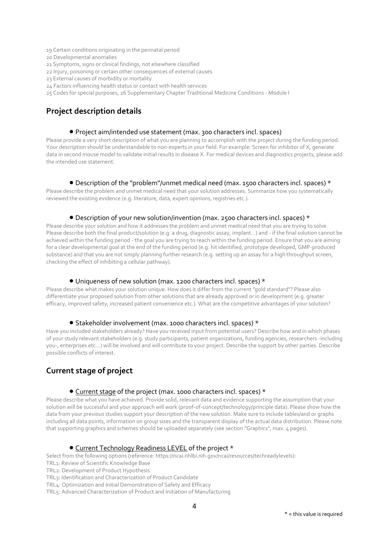- 19 Certain conditions originating in the perinatal period
- 20 Developmental anomalies
- 21 Symptoms, signs or clinical findings, not elsewhere classified
- 22 Injury, poisoning or certain other consequences of external causes
- 23 External causes of morbidity or mortality
- 24 Factors influencing health status or contact with health services
- 25 Codes for special purposes, 26 Supplementary Chapter Traditional Medicine Conditions Module I

## **Project description details**

#### Project aim/intended use statement (max. 300 characters incl. spaces)

Please provide a very short description of what you are planning to accomplish with the project during the funding period. Your description should be understandable to non-experts in your field. For example: Screen for inhibitor of X, generate data in second mouse model to validate initial results in disease X. For medical devices and diagnostics projects, please add the intended use statement.

#### $\bullet$  Description of the "problem"/unmet medical need (max. 1500 characters incl. spaces) \*

Please describe the problem and unmet medical need that your solution addresses. Summarize how you systematically reviewed the existing evidence (e.g. literature, data, expert opinions, registries etc.).

#### Description of your new solution/invention (max. 2500 characters incl. spaces) \*

Please describe your solution and how it addresses the problem and unmet medical need that you are trying to solve. Please describe both the final product/solution (e.g. a drug, diagnostic assay, implant...) and - if the final solution cannot be achieved within the funding period - the goal you are trying to reach within the funding period. Ensure that you are aiming for a clear developmental goal at the end of the funding period (e.g. hit identified, prototype developed, GMP-produced substance) and that you are not simply planning further research (e.g. setting up an assay for a high throughput screen, checking the effect of inhibiting a cellular pathway).

#### Uniqueness of new solution (max. 1200 characters incl. spaces) \*

Please describe what makes your solution unique. How does it differ from the current "gold standard"? Please also differentiate your proposed solution from other solutions that are already approved or in development (e.g. greater efficacy, improved safety, increased patient convenience etc.). What are the competitive advantages of your solution?

#### ● Stakeholder involvement (max. 1000 characters incl. spaces) \*

Have you included stakeholders already? Have you received input from potential users? Describe how and in which phases of your study relevant stakeholders (e.g. study participants, patient organizations, funding agencies, researchers -including you-, enterprises etc...) will be involved and will contribute to your project. Describe the support by other parties. Describe possible conflicts of interest.

## **Current stage of project**

#### Current stage of the project (max. 1000 characters incl. spaces) \*

Please describe what you have achieved. Provide solid, relevant data and evidence supporting the assumption that your solution will be successful and your approach will work (proof-of-concept/technology/principle data). Please show how the data from your previous studies support your description of the new solution. Make sure to include tables/and or graphs including all data points, information on group sizes and the transparent display of the actual data distribution. Please note that supporting graphics and schemes should be uploaded separately (see section "Graphics", max. 4 pages).

#### Current Technology Readiness LEVEL of the project \*

Select from the following options (reference: https://ncai.nhlbi.nih.gov/ncai/resources/techreadylevels):

- TRL1: Review of Scientific Knowledge Base
- TRL2: Development of Product Hypothesis

TRL3: Identification and Characterization of Product Candidate

TRL4: Optimization and Initial Demonstration of Safety and Efficacy

TRL5: Advanced Characterization of Product and Initiation of Manufacturing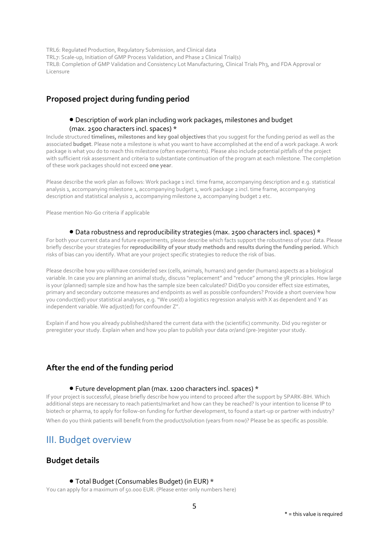TRL6: Regulated Production, Regulatory Submission, and Clinical data TRL7: Scale-up, Initiation of GMP Process Validation, and Phase 2 Clinical Trial(s) TRL8: Completion of GMP Validation and Consistency Lot Manufacturing, Clinical Trials Ph3, and FDA Approval or Licensure

## **Proposed project during funding period**

## Description of work plan including work packages, milestones and budget (max. 2500 characters incl. spaces) \*

Include structured **timelines, milestones and key goal objectives** that you suggest for the funding period as well as the associated **budget**. Please note a milestone is what you want to have accomplished at the end of a work package. A work package is what you do to reach this milestone (often experiments). Please also include potential pitfalls of the project with sufficient risk assessment and criteria to substantiate continuation of the program at each milestone. The completion of these work packages should not exceed **one year**.

Please describe the work plan as follows: Work package 1 incl. time frame, accompanying description and e.g. statistical analysis 1, accompanying milestone 1, accompanying budget 1, work package 2 incl. time frame, accompanying description and statistical analysis 2, accompanying milestone 2, accompanying budget 2 etc.

Please mention No-Go criteria if applicable

### Data robustness and reproducibility strategies (max. 2500 characters incl. spaces) \*

For both your current data and future experiments, please describe which facts support the robustness of your data. Please briefly describe your strategies for **reproducibility of your study methods and results during the funding period.** Which risks of bias can you identify. What are your project specific strategies to reduce the risk of bias.

Please describe how you will/have consider/ed sex (cells, animals, humans) and gender (humans) aspects as a biological variable. In case you are planning an animal study, discuss "replacement" and "reduce" among the 3R principles. How large is your (planned) sample size and how has the sample size been calculated? Did/Do you consider effect size estimates, primary and secondary outcome measures and endpoints as well as possible confounders? Provide a short overview how you conduct(ed) your statistical analyses, e.g. "We use(d) a logistics regression analysis with X as dependent and Y as independent variable. We adjust(ed) for confounder Z".

Explain if and how you already published/shared the current data with the (scientific) community. Did you register or preregister your study. Explain when and how you plan to publish your data or/and (pre-)register your study.

## **After the end of the funding period**

## Future development plan (max. 1200 characters incl. spaces) \*

If your project is successful, please briefly describe how you intend to proceed after the support by SPARK-BIH. Which additional steps are necessary to reach patients/market and how can they be reached? Is your intention to license IP to biotech or pharma, to apply for follow-on funding for further development, to found a start-up or partner with industry? When do you think patients will benefit from the product/solution (years from now)? Please be as specific as possible.

## III. Budget overview

## **Budget details**

## Total Budget (Consumables Budget) (in EUR) \*

You can apply for a maximum of 50.000 EUR. (Please enter only numbers here)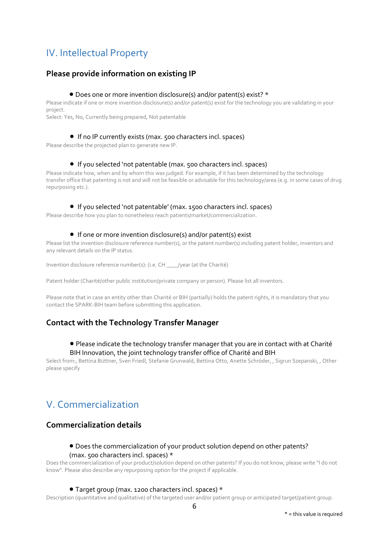# IV. Intellectual Property

## **Please provide information on existing IP**

## Does one or more invention disclosure(s) and/or patent(s) exist? \*

Please indicate if one or more invention disclosure(s) and/or patent(s) exist for the technology you are validating in your project.

Select: Yes, No, Currently being prepared, Not patentable

## If no IP currently exists (max. 500 characters incl. spaces)

Please describe the projected plan to generate new IP.

## If you selected 'not patentable (max. 500 characters incl. spaces)

Please indicate how, when and by whom this was judged. For example, if it has been determined by the technology transfer office that patenting is not and will not be feasible or advisable for this technology/area (e.g. in some cases of drug repurposing etc.).

#### ● If you selected 'not patentable' (max. 1500 characters incl. spaces)

Please describe how you plan to nonetheless reach patients/market/commercialization.

### ● If one or more invention disclosure(s) and/or patent(s) exist

Please list the invention disclosure reference number(s), or the patent number(s) including patent holder, inventors and any relevant details on the IP status.

Invention disclosure reference number(s): (i.e. CH \_\_\_\_/year (at the Charité)

Patent holder (Charité/other public institution/private company or person). Please list all inventors.

Please note that in case an entity other than Charité or BIH (partially) holds the patent rights, it is mandatory that you contact the SPARK-BIH team before submitting this application.

## **Contact with the Technology Transfer Manager**

## Please indicate the technology transfer manager that you are in contact with at Charité BIH Innovation, the joint technology transfer office of Charité and BIH

Select from:, Bettina Büttner, Sven Friedl, Stefanie Grunwald, Bettina Otto, Anette Schröder, , Sigrun Szepanski, , Other please specify

# V. Commercialization

## **Commercialization details**

## Does the commercialization of your product solution depend on other patents?

## (max. 500 characters incl. spaces) \*

Does the commercialization of your product/solution depend on other patents? If you do not know, please write "I do not know". Please also describe any repurposing option for the project if applicable.

### Target group (max. 1200 characters incl. spaces) \*

Description (quantitative and qualitative) of the targeted user and/or patient group or anticipated target/patient group.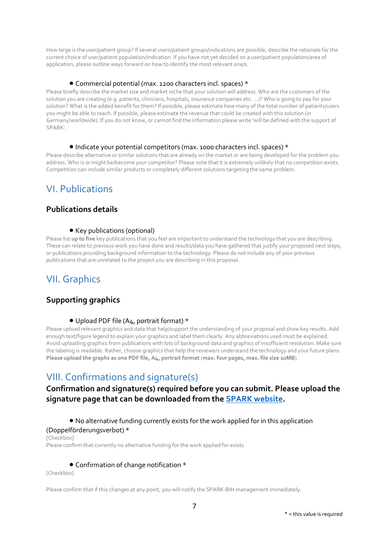How large is the user/patient group? If several users/patient groups/indications are possible, describe the rationale for the current choice of user/patient population/indication. If you have not yet decided on a user/patient population/area of application, please outline ways forward on how to identify the most relevant one/s.

## Commercial potential (max. 1200 characters incl. spaces) \*

Please briefly describe the market size and market niche that your solution will address. Who are the customers of the solution you are creating (e.g. patients, clinicians, hospitals, insurance companies etc. ...)? Who is going to pay for your solution? What is the added benefit for them? If possible, please estimate how many of the total number of patients/users you might be able to reach. If possible, please estimate the revenue that could be created with this solution (in Germany/worldwide). If you do not know, or cannot find the information please write 'will be defined with the support of SPARK'.

### Indicate your potential competitors (max. 1000 characters incl. spaces) \*

Please describe alternative or similar solutions that are already on the market or are being developed for the problem you address. Who is or might be/become your competitor? Please note that it is extremely unlikely that no competition exists. Competition can include similar products or completely different solutions targeting the same problem.

## VI. Publications

## **Publications details**

## • Key publications (optional)

Please list **up to five** key publications that you feel are important to understand the technology that you are describing. These can relate to previous work you have done and results/data you have gathered that justify your proposed next steps, or publications providing background information to the technology. Please do not include any of your previous publications that are unrelated to the project you are describing in this proposal.

## VII. Graphics

## **Supporting graphics**

## Upload PDF file (A4, portrait format) \*

Please upload relevant graphics and data that help/support the understanding of your proposal and show key results. Add enough text/figure legend to explain your graphics and label them clearly. Any abbreviations used must be explained. Avoid uploading graphics from publications with lots of background data and graphics of insufficient resolution. Make sure the labeling is readable. Rather, choose graphics that help the reviewers understand the technology and your future plans. **Please upload the graphs as one PDF file, A4, portrait format** (**max. four pages, max. file size 10MB**).

## VIII. Confirmations and signature(s)

## **Confirmation and signature(s) required before you can submit. Please upload the signature page that can be downloaded from the [SPARK website.](https://www.spark-bih.de/program/application)**

## No alternative funding currently exists for the work applied for in this application

#### (Doppelförderungsverbot) \*

[Checkbox] Please confirm that currently no alternative funding for the work applied for exists*.* 

## Confirmation of change notification \*

[Checkbox]

Please confirm that if this changes at any point, you will notify the SPARK-BIH management immediately.